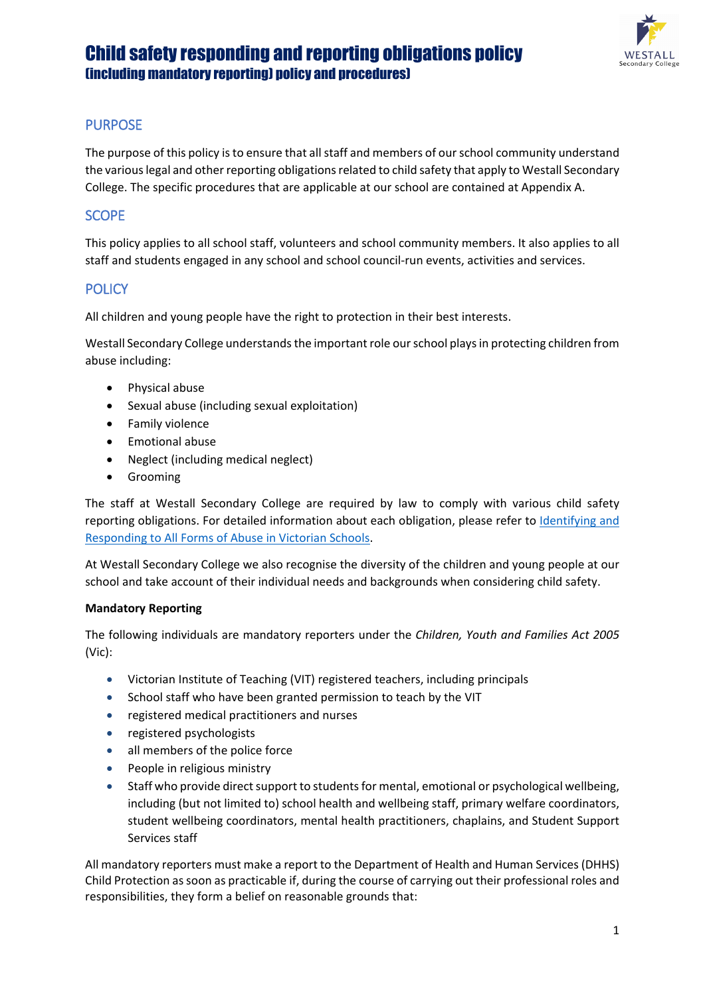

## PURPOSE

The purpose of this policy is to ensure that all staff and members of our school community understand the various legal and other reporting obligations related to child safety that apply to Westall Secondary College. The specific procedures that are applicable at our school are contained at Appendix A.

## **SCOPE**

This policy applies to all school staff, volunteers and school community members. It also applies to all staff and students engaged in any school and school council-run events, activities and services.

### **POLICY**

All children and young people have the right to protection in their best interests.

Westall Secondary College understands the important role our school plays in protecting children from abuse including:

- Physical abuse
- Sexual abuse (including sexual exploitation)
- Family violence
- Emotional abuse
- Neglect (including medical neglect)
- Grooming

The staff at Westall Secondary College are required by law to comply with various child safety reporting obligations. For detailed information about each obligation, please refer to Identifying and [Responding to All Forms of Abuse in Victorian Schools.](https://www.education.vic.gov.au/Documents/about/programs/health/protect/ChildSafeStandard5_SchoolsGuide.pdf)

At Westall Secondary College we also recognise the diversity of the children and young people at our school and take account of their individual needs and backgrounds when considering child safety.

### **Mandatory Reporting**

The following individuals are mandatory reporters under the *Children, Youth and Families Act 2005* (Vic):

- Victorian Institute of Teaching (VIT) registered teachers, including principals
- School staff who have been granted permission to teach by the VIT
- registered medical practitioners and nurses
- registered psychologists
- all members of the police force
- People in religious ministry
- Staff who provide direct support to students for mental, emotional or psychological wellbeing, including (but not limited to) school health and wellbeing staff, primary welfare coordinators, student wellbeing coordinators, mental health practitioners, chaplains, and Student Support Services staff

All mandatory reporters must make a report to the Department of Health and Human Services (DHHS) Child Protection as soon as practicable if, during the course of carrying out their professional roles and responsibilities, they form a belief on reasonable grounds that: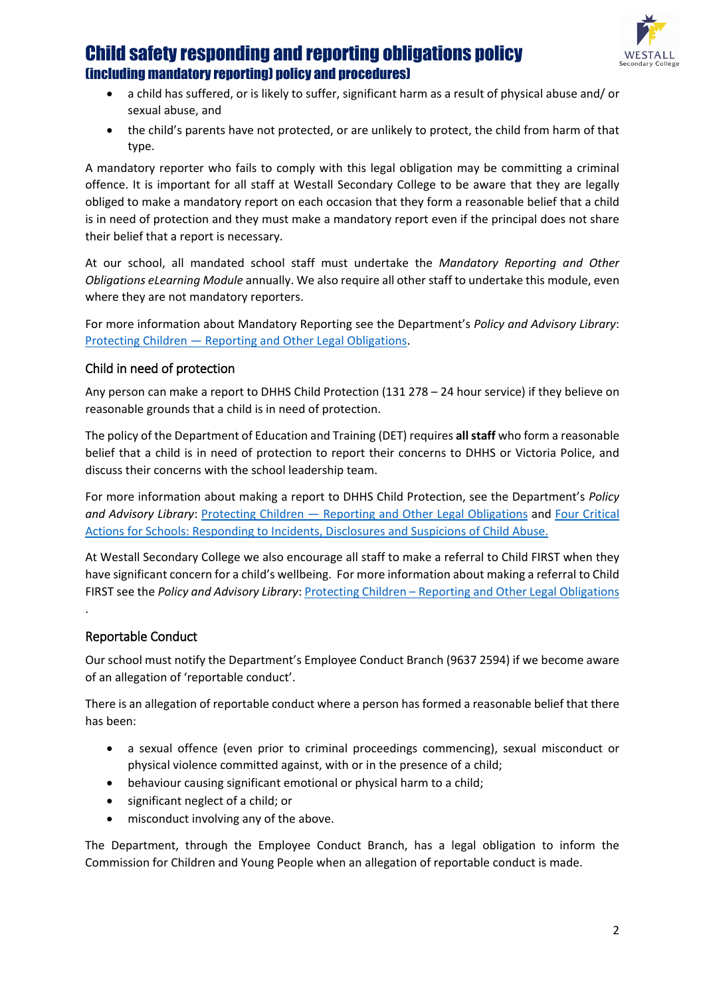

- a child has suffered, or is likely to suffer, significant harm as a result of physical abuse and/ or sexual abuse, and
- the child's parents have not protected, or are unlikely to protect, the child from harm of that type.

A mandatory reporter who fails to comply with this legal obligation may be committing a criminal offence. It is important for all staff at Westall Secondary College to be aware that they are legally obliged to make a mandatory report on each occasion that they form a reasonable belief that a child is in need of protection and they must make a mandatory report even if the principal does not share their belief that a report is necessary.

At our school, all mandated school staff must undertake the *Mandatory Reporting and Other Obligations eLearning Module* annually. We also require all other staff to undertake this module, even where they are not mandatory reporters.

For more information about Mandatory Reporting see the Department's *Policy and Advisory Library*: Protecting Children — [Reporting and Other Legal Obligations.](https://www2.education.vic.gov.au/pal/protecting-children/policy)

### Child in need of protection

Any person can make a report to DHHS Child Protection (131 278 – 24 hour service) if they believe on reasonable grounds that a child is in need of protection.

The policy of the Department of Education and Training (DET) requires **all staff** who form a reasonable belief that a child is in need of protection to report their concerns to DHHS or Victoria Police, and discuss their concerns with the school leadership team.

For more information about making a report to DHHS Child Protection, see the Department's *Policy and Advisory Library*: Protecting Children — [Reporting and Other Legal Obligations](https://www2.education.vic.gov.au/pal/protecting-children/policy) and [Four Critical](https://www.education.vic.gov.au/Documents/about/programs/health/protect/FourCriticalActions_ChildAbuse.pdf)  [Actions for Schools: Responding to Incidents, Disclosures and Suspicions of Child Abuse.](https://www.education.vic.gov.au/Documents/about/programs/health/protect/FourCriticalActions_ChildAbuse.pdf)

At Westall Secondary College we also encourage all staff to make a referral to Child FIRST when they have significant concern for a child's wellbeing. For more information about making a referral to Child FIRST see the *Policy and Advisory Library*: **Protecting Children** – [Reporting and Other Legal Obligations](https://www2.education.vic.gov.au/pal/protecting-children/policy)

### Reportable Conduct

.

Our school must notify the Department's Employee Conduct Branch (9637 2594) if we become aware of an allegation of 'reportable conduct'.

There is an allegation of reportable conduct where a person has formed a reasonable belief that there has been:

- a sexual offence (even prior to criminal proceedings commencing), sexual misconduct or physical violence committed against, with or in the presence of a child;
- behaviour causing significant emotional or physical harm to a child;
- significant neglect of a child; or
- misconduct involving any of the above.

The Department, through the Employee Conduct Branch, has a legal obligation to inform the Commission for Children and Young People when an allegation of reportable conduct is made.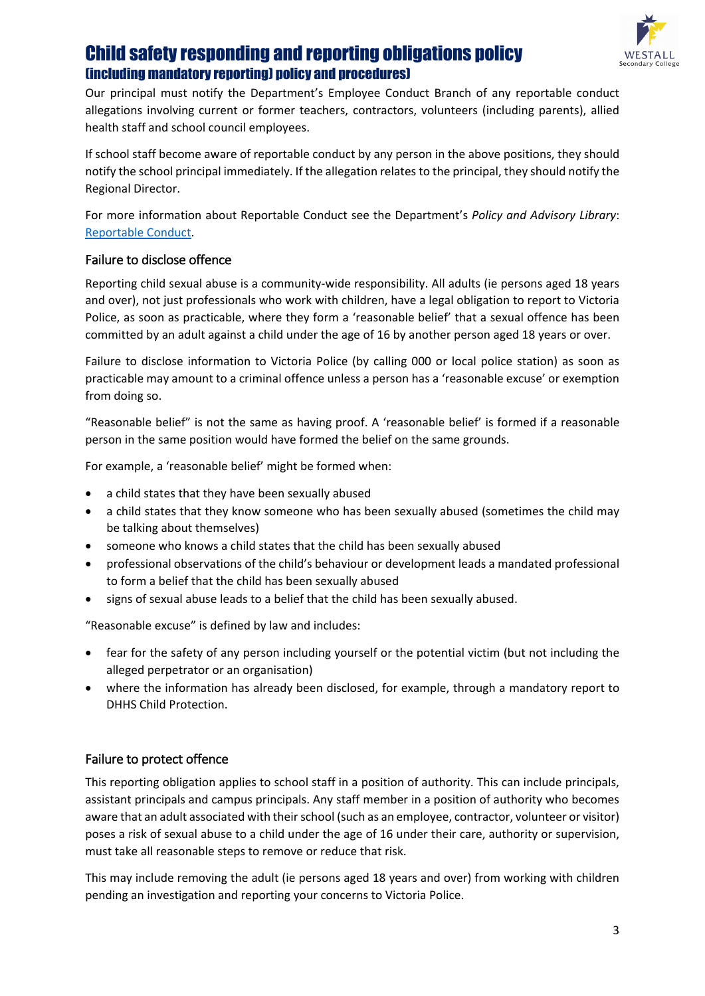

Our principal must notify the Department's Employee Conduct Branch of any reportable conduct allegations involving current or former teachers, contractors, volunteers (including parents), allied health staff and school council employees.

If school staff become aware of reportable conduct by any person in the above positions, they should notify the school principal immediately. If the allegation relates to the principal, they should notify the Regional Director.

For more information about Reportable Conduct see the Department's *Policy and Advisory Library*: [Reportable Conduct.](https://www2.education.vic.gov.au/pal/reportable-conduct-scheme/policy)

## Failure to disclose offence

Reporting child sexual abuse is a community-wide responsibility. All adults (ie persons aged 18 years and over), not just professionals who work with children, have a legal obligation to report to Victoria Police, as soon as practicable, where they form a 'reasonable belief' that a sexual offence has been committed by an adult against a child under the age of 16 by another person aged 18 years or over.

Failure to disclose information to Victoria Police (by calling 000 or local police station) as soon as practicable may amount to a criminal offence unless a person has a 'reasonable excuse' or exemption from doing so.

"Reasonable belief" is not the same as having proof. A 'reasonable belief' is formed if a reasonable person in the same position would have formed the belief on the same grounds.

For example, a 'reasonable belief' might be formed when:

- a child states that they have been sexually abused
- a child states that they know someone who has been sexually abused (sometimes the child may be talking about themselves)
- someone who knows a child states that the child has been sexually abused
- professional observations of the child's behaviour or development leads a mandated professional to form a belief that the child has been sexually abused
- signs of sexual abuse leads to a belief that the child has been sexually abused.

"Reasonable excuse" is defined by law and includes:

- fear for the safety of any person including yourself or the potential victim (but not including the alleged perpetrator or an organisation)
- where the information has already been disclosed, for example, through a mandatory report to DHHS Child Protection.

### Failure to protect offence

This reporting obligation applies to school staff in a position of authority. This can include principals, assistant principals and campus principals. Any staff member in a position of authority who becomes aware that an adult associated with their school (such as an employee, contractor, volunteer or visitor) poses a risk of sexual abuse to a child under the age of 16 under their care, authority or supervision, must take all reasonable steps to remove or reduce that risk.

This may include removing the adult (ie persons aged 18 years and over) from working with children pending an investigation and reporting your concerns to Victoria Police.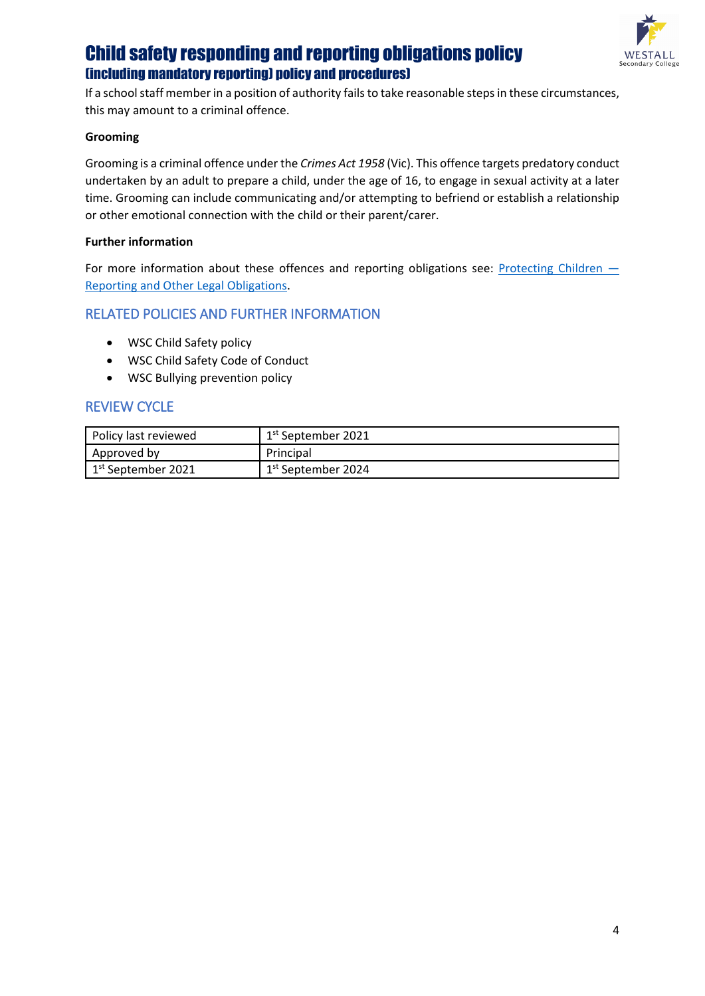

If a school staff member in a position of authority fails to take reasonable steps in these circumstances, this may amount to a criminal offence.

#### **Grooming**

Grooming is a criminal offence under the *Crimes Act 1958* (Vic). This offence targets predatory conduct undertaken by an adult to prepare a child, under the age of 16, to engage in sexual activity at a later time. Grooming can include communicating and/or attempting to befriend or establish a relationship or other emotional connection with the child or their parent/carer.

#### **Further information**

For more information about these offences and reporting obligations see: Protecting Children – [Reporting and Other Legal Obligations.](https://www2.education.vic.gov.au/pal/protecting-children/policy)

### RELATED POLICIES AND FURTHER INFORMATION

- WSC Child Safety policy
- WSC Child Safety Code of Conduct
- WSC Bullying prevention policy

### REVIEW CYCLE

| Policy last reviewed | $1st$ September 2021           |
|----------------------|--------------------------------|
| Approved by          | Principal                      |
| $1st$ September 2021 | 1 <sup>st</sup> September 2024 |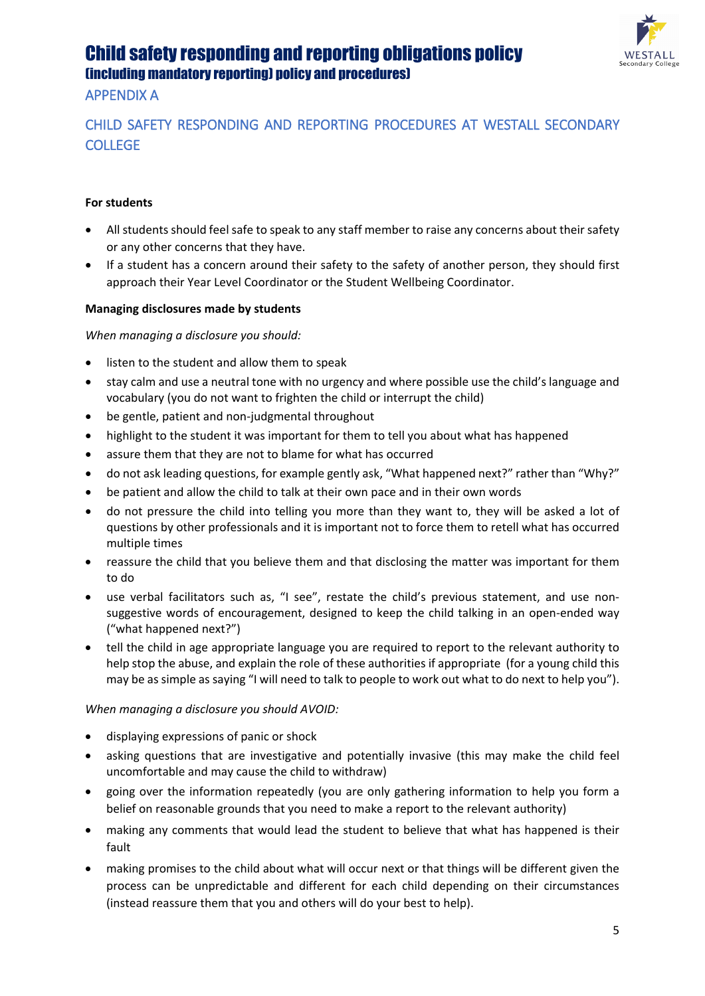

## APPENDIX A

## CHILD SAFETY RESPONDING AND REPORTING PROCEDURES AT WESTALL SECONDARY **COLLEGE**

### **For students**

- All students should feel safe to speak to any staff member to raise any concerns about their safety or any other concerns that they have.
- If a student has a concern around their safety to the safety of another person, they should first approach their Year Level Coordinator or the Student Wellbeing Coordinator.

### **Managing disclosures made by students**

*When managing a disclosure you should:*

- listen to the student and allow them to speak
- stay calm and use a neutral tone with no urgency and where possible use the child's language and vocabulary (you do not want to frighten the child or interrupt the child)
- be gentle, patient and non-judgmental throughout
- highlight to the student it was important for them to tell you about what has happened
- assure them that they are not to blame for what has occurred
- do not ask leading questions, for example gently ask, "What happened next?" rather than "Why?"
- be patient and allow the child to talk at their own pace and in their own words
- do not pressure the child into telling you more than they want to, they will be asked a lot of questions by other professionals and it is important not to force them to retell what has occurred multiple times
- reassure the child that you believe them and that disclosing the matter was important for them to do
- use verbal facilitators such as, "I see", restate the child's previous statement, and use nonsuggestive words of encouragement, designed to keep the child talking in an open-ended way ("what happened next?")
- tell the child in age appropriate language you are required to report to the relevant authority to help stop the abuse, and explain the role of these authorities if appropriate (for a young child this may be as simple as saying "I will need to talk to people to work out what to do next to help you").

### *When managing a disclosure you should AVOID:*

- displaying expressions of panic or shock
- asking questions that are investigative and potentially invasive (this may make the child feel uncomfortable and may cause the child to withdraw)
- going over the information repeatedly (you are only gathering information to help you form a belief on reasonable grounds that you need to make a report to the relevant authority)
- making any comments that would lead the student to believe that what has happened is their fault
- making promises to the child about what will occur next or that things will be different given the process can be unpredictable and different for each child depending on their circumstances (instead reassure them that you and others will do your best to help).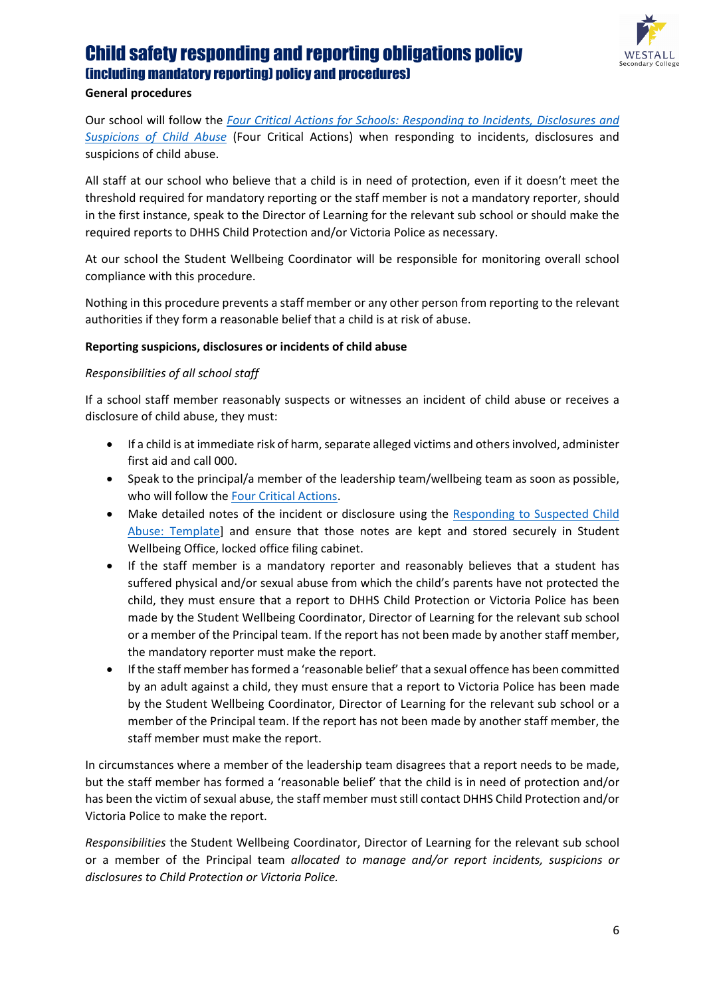

### **General procedures**

Our school will follow the *[Four Critical Actions for Schools: Responding to Incidents, Disclosures and](https://www.education.vic.gov.au/Documents/about/programs/health/protect/FourCriticalActions_ChildAbuse.pdf)  [Suspicions of Child Abuse](https://www.education.vic.gov.au/Documents/about/programs/health/protect/FourCriticalActions_ChildAbuse.pdf)* (Four Critical Actions) when responding to incidents, disclosures and suspicions of child abuse.

All staff at our school who believe that a child is in need of protection, even if it doesn't meet the threshold required for mandatory reporting or the staff member is not a mandatory reporter, should in the first instance, speak to the Director of Learning for the relevant sub school or should make the required reports to DHHS Child Protection and/or Victoria Police as necessary.

At our school the Student Wellbeing Coordinator will be responsible for monitoring overall school compliance with this procedure.

Nothing in this procedure prevents a staff member or any other person from reporting to the relevant authorities if they form a reasonable belief that a child is at risk of abuse.

### **Reporting suspicions, disclosures or incidents of child abuse**

#### *Responsibilities of all school staff*

If a school staff member reasonably suspects or witnesses an incident of child abuse or receives a disclosure of child abuse, they must:

- If a child is at immediate risk of harm, separate alleged victims and others involved, administer first aid and call 000.
- Speak to the principal/a member of the leadership team/wellbeing team as soon as possible, who will follow th[e Four Critical Actions.](https://www.education.vic.gov.au/Documents/about/programs/health/protect/FourCriticalActions_ChildAbuse.pdf)
- Make detailed notes of the incident or disclosure using the [Responding to Suspected Child](https://www.education.vic.gov.au/Documents/about/programs/health/protect/PROTECT_Schoolstemplate.pdf)  [Abuse: Template\]](https://www.education.vic.gov.au/Documents/about/programs/health/protect/PROTECT_Schoolstemplate.pdf) and ensure that those notes are kept and stored securely in Student Wellbeing Office, locked office filing cabinet.
- If the staff member is a mandatory reporter and reasonably believes that a student has suffered physical and/or sexual abuse from which the child's parents have not protected the child, they must ensure that a report to DHHS Child Protection or Victoria Police has been made by the Student Wellbeing Coordinator, Director of Learning for the relevant sub school or a member of the Principal team. If the report has not been made by another staff member, the mandatory reporter must make the report.
- If the staff member has formed a 'reasonable belief' that a sexual offence has been committed by an adult against a child, they must ensure that a report to Victoria Police has been made by the Student Wellbeing Coordinator, Director of Learning for the relevant sub school or a member of the Principal team. If the report has not been made by another staff member, the staff member must make the report.

In circumstances where a member of the leadership team disagrees that a report needs to be made, but the staff member has formed a 'reasonable belief' that the child is in need of protection and/or has been the victim of sexual abuse, the staff member must still contact DHHS Child Protection and/or Victoria Police to make the report.

*Responsibilities* the Student Wellbeing Coordinator, Director of Learning for the relevant sub school or a member of the Principal team *allocated to manage and/or report incidents, suspicions or disclosures to Child Protection or Victoria Police.*